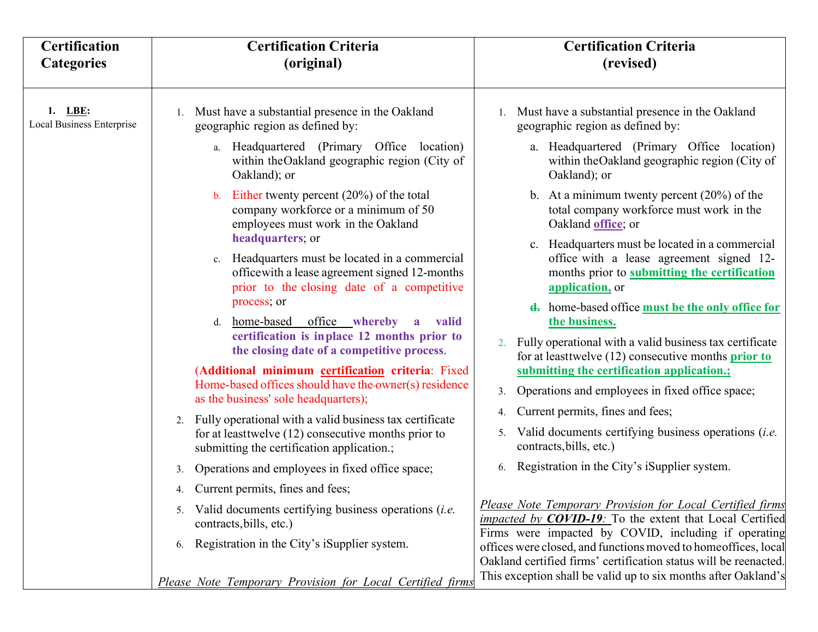| <b>Certification</b><br><b>Categories</b> | <b>Certification Criteria</b><br>(original)                                                                                                                         | <b>Certification Criteria</b><br>(revised)                                                                                                                                                                     |
|-------------------------------------------|---------------------------------------------------------------------------------------------------------------------------------------------------------------------|----------------------------------------------------------------------------------------------------------------------------------------------------------------------------------------------------------------|
|                                           |                                                                                                                                                                     |                                                                                                                                                                                                                |
| $1.$ LBE:<br>Local Business Enterprise    | Must have a substantial presence in the Oakland<br>geographic region as defined by:                                                                                 | 1. Must have a substantial presence in the Oakland<br>geographic region as defined by:                                                                                                                         |
|                                           | a. Headquartered (Primary Office location)<br>within the Oakland geographic region (City of<br>Oakland); or                                                         | a. Headquartered (Primary Office location)<br>within the Oakland geographic region (City of<br>Oakland); or                                                                                                    |
|                                           | Either twenty percent $(20\%)$ of the total<br>$\mathbf{b}$ .<br>company workforce or a minimum of 50<br>employees must work in the Oakland                         | b. At a minimum twenty percent $(20%)$ of the<br>total company workforce must work in the<br>Oakland office; or                                                                                                |
|                                           | headquarters; or<br>c. Headquarters must be located in a commercial<br>office with a lease agreement signed 12-months<br>prior to the closing date of a competitive | c. Headquarters must be located in a commercial<br>office with a lease agreement signed 12-<br>months prior to submitting the certification<br>application, or                                                 |
|                                           | process; or<br>home-based office whereby<br>a valid<br>$d_{\cdot}$<br>certification is inplace 12 months prior to<br>the closing date of a competitive process.     | <b>d.</b> home-based office <b>must</b> be the only office for<br>the business.<br>2. Fully operational with a valid business tax certificate<br>for at least twelve $(12)$ consecutive months <b>prior to</b> |
|                                           | (Additional minimum certification criteria: Fixed<br>Home-based offices should have the owner(s) residence<br>as the business' sole headquarters);                  | submitting the certification application.;<br>Operations and employees in fixed office space;<br>3.                                                                                                            |
|                                           | 2. Fully operational with a valid business tax certificate<br>for at least twelve $(12)$ consecutive months prior to<br>submitting the certification application.;  | Current permits, fines and fees;<br>4.<br>Valid documents certifying business operations <i>(i.e.</i><br>5.<br>contracts, bills, etc.)                                                                         |
|                                           | Operations and employees in fixed office space;<br>3.                                                                                                               | Registration in the City's iSupplier system.<br>6.                                                                                                                                                             |
|                                           | 4. Current permits, fines and fees;                                                                                                                                 |                                                                                                                                                                                                                |
|                                           | Valid documents certifying business operations <i>(i.e.</i><br>5.<br>contracts, bills, etc.)                                                                        | Please Note Temporary Provision for Local Certified firms<br><i>impacted by COVID-19:</i> To the extent that Local Certified<br>Firms were impacted by COVID, including if operating                           |
|                                           | Registration in the City's iSupplier system.<br>6.                                                                                                                  | offices were closed, and functions moved to homeoffices, local<br>Oakland certified firms' certification status will be reenacted.                                                                             |
|                                           | Please Note Temporary Provision for Local Certified firms                                                                                                           | This exception shall be valid up to six months after Oakland's                                                                                                                                                 |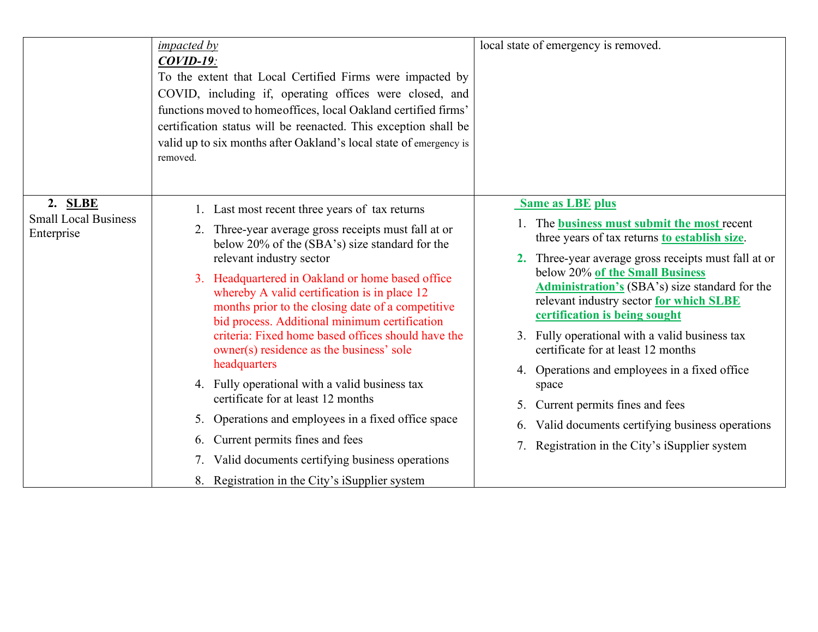|                                                      | <i>impacted by</i><br>$COVID-19$ :<br>To the extent that Local Certified Firms were impacted by<br>COVID, including if, operating offices were closed, and<br>functions moved to homeoffices, local Oakland certified firms'<br>certification status will be reenacted. This exception shall be<br>valid up to six months after Oakland's local state of emergency is<br>removed.                                                                                                                                                                                                                                                                                                                                                                                                                              | local state of emergency is removed.                                                                                                                                                                                                                                                                                                                                                                                                                                                                                                                                                                                                                        |
|------------------------------------------------------|----------------------------------------------------------------------------------------------------------------------------------------------------------------------------------------------------------------------------------------------------------------------------------------------------------------------------------------------------------------------------------------------------------------------------------------------------------------------------------------------------------------------------------------------------------------------------------------------------------------------------------------------------------------------------------------------------------------------------------------------------------------------------------------------------------------|-------------------------------------------------------------------------------------------------------------------------------------------------------------------------------------------------------------------------------------------------------------------------------------------------------------------------------------------------------------------------------------------------------------------------------------------------------------------------------------------------------------------------------------------------------------------------------------------------------------------------------------------------------------|
| 2. SLBE<br><b>Small Local Business</b><br>Enterprise | 1. Last most recent three years of tax returns<br>2. Three-year average gross receipts must fall at or<br>below 20% of the (SBA's) size standard for the<br>relevant industry sector<br>3. Headquartered in Oakland or home based office<br>whereby A valid certification is in place 12<br>months prior to the closing date of a competitive<br>bid process. Additional minimum certification<br>criteria: Fixed home based offices should have the<br>owner(s) residence as the business' sole<br>headquarters<br>4. Fully operational with a valid business tax<br>certificate for at least 12 months<br>5. Operations and employees in a fixed office space<br>Current permits fines and fees<br>6.<br>7. Valid documents certifying business operations<br>8. Registration in the City's iSupplier system | <b>Same as LBE plus</b><br>1. The business must submit the most recent<br>three years of tax returns to establish size.<br>2. Three-year average gross receipts must fall at or<br>below 20% of the Small Business<br><b>Administration's</b> (SBA's) size standard for the<br>relevant industry sector for which SLBE<br>certification is being sought<br>3. Fully operational with a valid business tax<br>certificate for at least 12 months<br>4. Operations and employees in a fixed office<br>space<br>Current permits fines and fees<br>5.<br>Valid documents certifying business operations<br>6.<br>7. Registration in the City's iSupplier system |